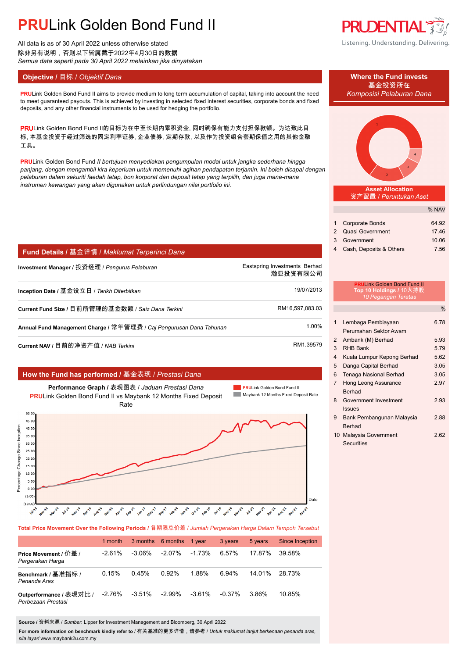# **PRU**Link Golden Bond Fund II

All data is as of 30 April 2022 unless otherwise stated 除非另有说明,否则以下皆属截于2022年4月30日的数据 *Semua data seperti pada 30 April 2022 melainkan jika dinyatakan*

## **Objective / 目标 /** *Objektif Dana* **Where the Fund invests</u>**

**PRU**Link Golden Bond Fund II aims to provide medium to long term accumulation of capital, taking into account the need *Komposisi Pelaburan Dana* to meet guaranteed payouts. This is achieved by investing in selected fixed interest securities, corporate bonds and fixed deposits, and any other financial instruments to be used for hedging the portfolio.

PRULink Golden Bond Fund II的目标为在中至长期内累积资金, 同时确保有能力支付担保款额。为达致此目 标, 本基金投资于经过筛选的固定利率证券, 企业债券, 定期存款, 以及作为投资组合套期保值之用的其他金融 工具。

**PRU**Link Golden Bond Fund *II bertujuan menyediakan pengumpulan modal untuk jangka sederhana hingga panjang, dengan mengambil kira keperluan untuk memenuhi agihan pendapatan terjamin. Ini boleh dicapai dengan pelaburan dalam sekuriti faedah tetap, bon korporat dan deposit tetap yang terpilih, dan juga mana-mana instrumen kewangan yang akan digunakan untuk perlindungan nilai portfolio ini.*

| <b>Fund Details / 基金详情 / Maklumat Terperinci Dana</b> |                                           |
|-------------------------------------------------------|-------------------------------------------|
| Investment Manager / 投资经理 / <i>Penqurus Pelaburan</i> | Eastspring Investments Berhad<br>瀚亚投资有限公司 |
| Inception Date / 基金设立日 / Tarikh Diterbitkan           | 19/07/2013                                |
| Current Fund Size / 目前所管理的基金数额 / Saiz Dana Terkini    | RM16,597,083.03                           |

**Annual Fund Management Charge /** 常年管理费 / *Caj Pengurusan Dana Tahunan* 1.00%.

**Current NAV /** 目前的净资产值 / *NAB Terkini* RM1.39579.

## **How the Fund has performed /** 基金表现 / *Prestasi Dana*



**Total Price Movement Over the Following Periods /** 各期限总价差 / *Jumlah Pergerakan Harga Dalam Tempoh Tersebut*

|                                               | 1 month   |           | 3 months 6 months | 1 vear    | 3 years   | 5 years | Since Inception |
|-----------------------------------------------|-----------|-----------|-------------------|-----------|-----------|---------|-----------------|
| Price Movement / 价差 /<br>Pergerakan Harga     | $-2.61\%$ | -3.06%    | $-2.07\%$         | $-1.73%$  | 6.57%     | 17.87%  | 39.58%          |
| Benchmark / 基准指标 /<br>Penanda Aras            | 0.15%     | 0.45%     | 0.92%             | 1.88%     | 6.94%     | 14 01%  | 28.73%          |
| Outperformance / 表现对比 /<br>Perbezaan Prestasi | $-2.76%$  | $-3.51\%$ | $-2.99\%$         | $-3.61\%$ | $-0.37\%$ | 3.86%   | 10.85%          |

**Source /** 资料来源 / *Sumber*: Lipper for Investment Management and Bloomberg, 30 April 2022

**For more information on benchmark kindly refer to** / 有关基准的更多详情,请参考 / *Untuk maklumat lanjut berkenaan penanda aras, sila layari* www.maybank2u.com.my



Listening. Understanding. Delivering.





**Asset Allocation** 资产配置 / *Peruntukan Aset*

|                           | % NAV |
|---------------------------|-------|
|                           |       |
| 1 Corporate Bonds         | 64.92 |
| 2 Quasi Government        | 17.46 |
| 3 Government              | 10.06 |
| 4 Cash, Deposits & Others | 7.56  |

# **PRU**Link Golden Bond Fund II **Top 10 Holdings /** 10大持股 *10 Pegangan Teratas*

%

| 1 | Lembaga Pembiayaan            | 6.78 |
|---|-------------------------------|------|
|   | Perumahan Sektor Awam         |      |
| 2 | Ambank (M) Berhad             | 5.93 |
| 3 | <b>RHB Bank</b>               | 5.79 |
| 4 | Kuala Lumpur Kepong Berhad    | 5.62 |
| 5 | Danga Capital Berhad          | 3.05 |
| 6 | <b>Tenaga Nasional Berhad</b> | 3.05 |
| 7 | Hong Leong Assurance          | 2.97 |
|   | <b>Berhad</b>                 |      |
| 8 | Government Investment         | 2.93 |
|   | <b>Issues</b>                 |      |
| 9 | Bank Pembangunan Malaysia     | 2.88 |
|   | Berhad                        |      |
|   | 10 Malaysia Government        | 2.62 |
|   | Securities                    |      |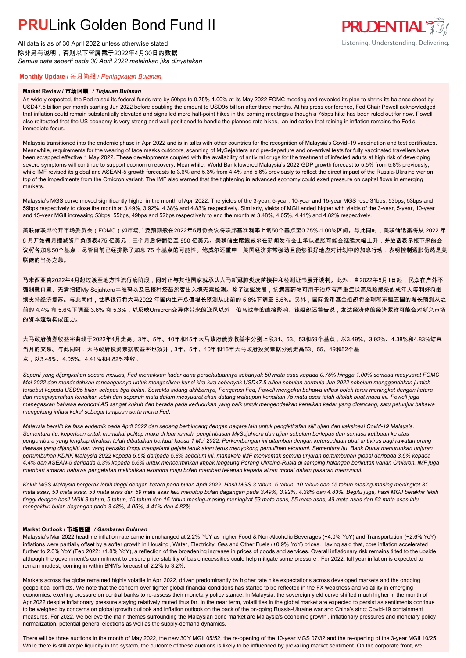# **PRUL** ink Golden Bond Fund II

All data is as of 30 April 2022 unless otherwise stated 除非另有说明,否则以下皆属截于2022年4月30日的数据 *Semua data seperti pada 30 April 2022 melainkan jika dinyatakan*

# **PRUDENTIAL** Listening. Understanding. Delivering.

### **Monthly Update /** 每月简报 / *Peningkatan Bulanan*

#### **Market Review /** 市场回顾 */ Tinjauan Bulanan*

As widely expected, the Fed raised its federal funds rate by 50bps to 0.75%-1.00% at its May 2022 FOMC meeting and revealed its plan to shrink its balance sheet by USD47.5 billion per month starting Jun 2022 before doubling the amount to USD95 billion after three months. At his press conference, Fed Chair Powell acknowledged that inflation could remain substantially elevated and signalled more half-point hikes in the coming meetings although a 75bps hike has been ruled out for now. Powell also reiterated that the US economy is very strong and well positioned to handle the planned rate hikes, an indication that reining in inflation remains the Fed's immediate focus.

Malaysia transitioned into the endemic phase in Apr 2022 and is in talks with other countries for the recognition of Malaysia's Covid-19 vaccination and test certificates. Meanwhile, requirements for the wearing of face masks outdoors, scanning of MySejahtera and pre-departure and on-arrival tests for fully vaccinated travellers have been scrapped effective 1 May 2022. These developments coupled with the availability of antiviral drugs for the treatment of infected adults at high risk of developing severe symptoms will continue to support economic recovery. Meanwhile, World Bank lowered Malaysia's 2022 GDP growth forecast to 5.5% from 5.8% previously, while IMF revised its global and ASEAN-5 growth forecasts to 3.6% and 5.3% from 4.4% and 5.6% previously to reflect the direct impact of the Russia-Ukraine war on top of the impediments from the Omicron variant. The IMF also warned that the tightening in advanced economy could exert pressure on capital flows in emerging markets.

Malaysia's MGS curve moved significantly higher in the month of Apr 2022. The yields of the 3-year, 5-year, 10-year and 15-year MGS rose 31bps, 53bps, 53bps and 59bps respectively to close the month at 3.49%, 3.92%, 4.38% and 4.83% respectively. Similarly, yields of MGII ended higher with yields of the 3-year, 5-year, 10-year and 15-year MGII increasing 53bps, 55bps, 49bps and 52bps respectively to end the month at 3.48%, 4.05%, 4.41% and 4.82% respectively.

美联储联邦公开市场委员会(FOMC)如市场广泛预期般在2022年5月份会议将联邦基准利率上调50个基点至0.75%-1.00%区间。与此同时,美联储透露将从 2022 年 6 月开始每月缩减资产负债表475 亿美元,三个月后将翻倍至 950 亿美元。美联储主席鲍威尔在新闻发布会上承认通胀可能会继续大幅上升,并放话表示接下来的会 议将各加息50个基点,尽管目前已经排除了加息 75 个基点的可能性。鲍威尔还重申,美国经济非常强劲且能够很好地应对计划中的加息行动,表明控制通胀仍然是美 联储的当务之急。

马来西亚自2022年4月起过渡至地方性流行病阶段,同时正与其他国家就承认大马新冠肺炎疫苗接种和检测证书展开谈判。此外,自2022年5月1日起,民众在户外不 强制戴口罩、无需扫描My Sejahtera二维码以及已接种疫苗旅客出入境无需检测。除了这些发展,抗病毒药物可用于治疗有严重症状高风险感染的成年人等利好将继 续支持经济复苏。与此同时,世界银行将大马2022 年国内生产总值增长预测从此前的 5.8%下调至 5.5%。另外,国际货币基金组织将全球和东盟五国的增长预测从之 前的 4.4% 和 5.6%下调至 3.6% 和 5.3%,以反映Omicron变异体带来的逆风以外,俄乌战争的直接影响。该组织还警告说,发达经济体的经济紧缩可能会对新兴市场 的资本流动构成压力。

大马政府债券收益率曲线于2022年4月走高。3年、5年、10年和15年大马政府债券收益率分别上涨31、53、53和59个基点,以3.49%、3.92%、4.38%和4.83%结束 当月的交易。与此同时,大马政府投资票据收益率也扬升,3年、5年、10年和15年大马政府投资票据分别走高53、55、49和52个基 点,以3.48%、4.05%、4.41%和4.82%挂收。

*Seperti yang dijangkakan secara meluas, Fed menaikkan kadar dana persekutuannya sebanyak 50 mata asas kepada 0.75% hingga 1.00% semasa mesyuarat FOMC Mei 2022 dan mendedahkan rancangannya untuk mengecilkan kunci kira-kira sebanyak USD47.5 bilion sebulan bermula Jun 2022 sebelum menggandakan jumlah tersebut kepada USD95 bilion selepas tiga bulan. Sewaktu sidang akhbarnya, Pengerusi Fed, Powell mengakui bahawa inflasi boleh terus meningkat dengan ketara dan mengisyaratkan kenaikan lebih dari separuh mata dalam mesyuarat akan datang walaupun kenaikan 75 mata asas telah ditolak buat masa ini. Powell juga menegaskan bahawa ekonomi AS sangat kukuh dan berada pada kedudukan yang baik untuk mengendalikan kenaikan kadar yang dirancang, satu petunjuk bahawa mengekang inflasi kekal sebagai tumpuan serta merta Fed.*

*Malaysia beralih ke fasa endemik pada April 2022 dan sedang berbincang dengan negara lain untuk pengiktirafan sijil ujian dan vaksinasi Covid-19 Malaysia. Sementara itu, keperluan untuk memakai pelitup muka di luar rumah, pengimbasan MySejahtera dan ujian sebelum berlepas dan semasa ketibaan ke atas pengembara yang lengkap divaksin telah dibatalkan berkuat kuasa 1 Mei 2022. Perkembangan ini ditambah dengan ketersediaan ubat antivirus bagi rawatan orang dewasa yang dijangkiti dan yang berisiko tinggi mengalami gejala teruk akan terus menyokong pemulihan ekonomi. Sementara itu, Bank Dunia menurunkan unjuran pertumbuhan KDNK Malaysia 2022 kepada 5.5% daripada 5.8% sebelum ini, manakala IMF menyemak semula unjuran pertumbuhan global daripada 3.6% kepada 4.4% dan ASEAN-5 daripada 5.3% kepada 5.6% untuk mencerminkan impak langsung Perang Ukraine-Rusia di samping halangan berikutan varian Omicron. IMF juga memberi amaran bahawa pengetatan melibatkan ekonomi maju boleh memberi tekanan kepada aliran modal dalam pasaran memuncul.*

*Keluk MGS Malaysia bergerak lebih tinggi dengan ketara pada bulan April 2022. Hasil MGS 3 tahun, 5 tahun, 10 tahun dan 15 tahun masing-masing meningkat 31 mata asas, 53 mata asas, 53 mata asas dan 59 mata asas lalu menutup bulan dagangan pada 3.49%, 3.92%, 4.38% dan 4.83%. Begitu juga, hasil MGII berakhir lebih tinggi dengan hasil MGII 3 tahun, 5 tahun, 10 tahun dan 15 tahun masing-masing meningkat 53 mata asas, 55 mata asas, 49 mata asas dan 52 mata asas lalu mengakhiri bulan dagangan pada 3.48%, 4.05%, 4.41% dan 4.82%.*

### **Market Outlook /** 市场展望 */ Gambaran Bulanan*

Malaysia's Mar 2022 headline inflation rate came in unchanged at 2.2% YoY as higher Food & Non-Alcoholic Beverages (+4.0% YoY) and Transportation (+2.6% YoY) inflations were partially offset by a softer growth in Housing , Water, Electricity, Gas and Other Fuels (+0.9% YoY) prices. Having said that, core inflation accelerated further to 2.0% YoY (Feb 2022: +1.8% YoY), a reflection of the broadening increase in prices of goods and services. Overall inflationary risk remains tilted to the upside although the government's commitment to ensure price stability of basic necessities could help mitigate some pressure . For 2022, full year inflation is expected to remain modest, coming in within BNM's forecast of 2.2% to 3.2%.

Markets across the globe remained highly volatile in Apr 2022, driven predominantly by higher rate hike expectations across developed markets and the ongoing geopolitical conflicts. We note that the concern over tighter global financial conditions has started to be reflected in the FX weakness and volatility in emerging economies, exerting pressure on central banks to re-assess their monetary policy stance. In Malaysia, the sovereign yield curve shifted much higher in the month of Apr 2022 despite inflationary pressure staying relatively muted thus far. In the near term, volatilities in the global market are expected to persist as sentiments continue to be weighed by concerns on global growth outlook and inflation outlook on the back of the on-going Russia-Ukraine war and China's strict Covid-19 containment measures. For 2022, we believe the main themes surrounding the Malaysian bond market are Malaysia's economic growth , inflationary pressures and monetary policy normalization, potential general elections as well as the supply-demand dynamics.

There will be three auctions in the month of May 2022, the new 30 Y MGII 05/52, the re-opening of the 10-year MGS 07/32 and the re-opening of the 3-year MGII 10/25. While there is still ample liquidity in the system, the outcome of these auctions is likely to be influenced by prevailing market sentiment. On the corporate front, we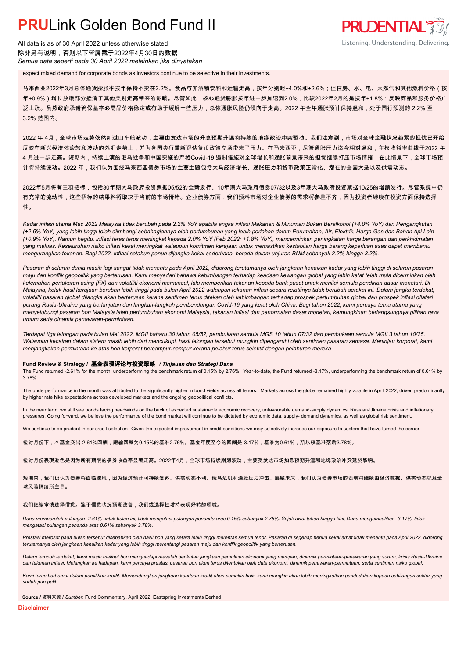# **PRUL** ink Golden Bond Fund II

All data is as of 30 April 2022 unless otherwise stated 除非另有说明,否则以下皆属截于2022年4月30日的数据 *Semua data seperti pada 30 April 2022 melainkan jika dinyatakan*

expect mixed demand for corporate bonds as investors continue to be selective in their investments.

马来西亚2022年3月总体通货膨胀率按年保持不变在2.2%。食品与非酒精饮料和运输走高,按年分别起+4.0%和+2.6%;但住房、水、电、天然气和其他燃料价格(按 年+0.9%)增长放缓部分抵消了其他类别走高带来的影响。尽管如此,核心通货膨胀按年进一步加速到2.0%,比较2022年2月的是按年+1.8%;反映商品和服务价格广 泛上涨。虽然政府承诺确保基本必需品价格稳定或有助于缓解一些压力,总体通胀风险仍倾向于走高。2022 年全年通胀预计保持温和,处于国行预测的 2.2% 至 3.2% 范围内。

2022 年 4月,全球市场走势依然如过山车般波动,主要由发达市场的升息预期升温和持续的地缘政治冲突驱动。我们注意到,市场对全球金融状况趋紧的担忧已开始 反映在新兴经济体疲软和波动的外汇走势上,并为各国央行重新评估货币政策立场带来了压力。在马来西亚,尽管通胀压力迄今相对温和,主权收益率曲线于2022 年 4 月进一步走高。短期内,持续上演的俄乌战争和中国实施的严格Covid-19 遏制措施对全球增长和通胀前景带来的担忧继续打压市场情绪;在此情景下,全球市场预 计将持续波动。2022 年,我们认为围绕马来西亚债券市场的主要主题包括大马经济增长、通胀压力和货币政策正常化、潜在的全国大选以及供需动态。

2022年5月将有三项招标,包括30年期大马政府投资票据05/52的全新发行、10年期大马政府债券07/32以及3年期大马政府投资票据10/25的增额发行。尽管系统中仍 有充裕的流动性,这些招标的结果料将取决于当前的市场情绪。企业债券方面,我们预料市场对企业债券的需求将参差不齐,因为投资者继续在投资方面保持选择 性。

*Kadar inflasi utama Mac 2022 Malaysia tidak berubah pada 2.2% YoY apabila angka inflasi Makanan & Minuman Bukan Beralkohol (+4.0% YoY) dan Pengangkutan (+2.6% YoY) yang lebih tinggi telah diimbangi sebahagiannya oleh pertumbuhan yang lebih perlahan dalam Perumahan, Air, Elektrik, Harga Gas dan Bahan Api Lain (+0.9% YoY). Namun begitu, inflasi teras terus meningkat kepada 2.0% YoY (Feb 2022: +1.8% YoY), mencerminkan peningkatan harga barangan dan perkhidmatan yang meluas. Keseluruhan risiko inflasi kekal meningkat walaupun komitmen kerajaan untuk memastikan kestabilan harga barang keperluan asas dapat membantu mengurangkan tekanan. Bagi 2022, inflasi setahun penuh dijangka kekal sederhana, berada dalam unjuran BNM sebanyak 2.2% hingga 3.2%.*

*Pasaran di seluruh dunia masih lagi sangat tidak menentu pada April 2022, didorong terutamanya oleh jangkaan kenaikan kadar yang lebih tinggi di seluruh pasaran maju dan konflik geopolitik yang berterusan. Kami menyedari bahawa kebimbangan terhadap keadaan kewangan global yang lebih ketat telah mula dicerminkan oleh kelemahan pertukaran asing (FX) dan volatiliti ekonomi memuncul, lalu memberikan tekanan kepada bank pusat untuk menilai semula pendirian dasar monetari. Di Malaysia, keluk hasil kerajaan berubah lebih tinggi pada bulan April 2022 walaupun tekanan inflasi secara relatifnya tidak berubah setakat ini. Dalam jangka terdekat, volatiliti pasaran global dijangka akan berterusan kerana sentimen terus ditekan oleh kebimbangan terhadap prospek pertumbuhan global dan prospek inflasi dilatari perang Rusia-Ukraine yang berlanjutan dan langkah-langkah pembendungan Covid-19 yang ketat oleh China. Bagi tahun 2022, kami percaya tema utama yang menyelubungi pasaran bon Malaysia ialah pertumbuhan ekonomi Malaysia, tekanan inflasi dan penormalan dasar monetari, kemungkinan berlangsungnya pilihan raya umum serta dinamik penawaran-permintaan.*

*Terdapat tiga lelongan pada bulan Mei 2022, MGII baharu 30 tahun 05/52, pembukaan semula MGS 10 tahun 07/32 dan pembukaan semula MGII 3 tahun 10/25. Walaupun kecairan dalam sistem masih lebih dari mencukupi, hasil lelongan tersebut mungkin dipengaruhi oleh sentimen pasaran semasa. Meninjau korporat, kami menjangkakan permintaan ke atas bon korporat bercampur-campur kerana pelabur terus selektif dengan pelaburan mereka.*

### **Fund Review & Strategy /** 基金表现评论与投资策略 */ Tinjauan dan Strategi Dana*

The Fund returned -2.61% for the month, underperforming the benchmark return of 0.15% by 2.76%. Year-to-date, the Fund returned -3.17%, underperforming the benchmark return of 0.61% by 3.78%.

The underperformance in the month was attributed to the significantly higher in bond yields across all tenors. Markets across the globe remained highly volatile in April 2022, driven predominantly by higher rate hike expectations across developed markets and the ongoing geopolitical conflicts.

In the near term, we still see bonds facing headwinds on the back of expected sustainable economic recovery, unfavourable demand-supply dynamics, Russian-Ukraine crisis and inflationary pressures. Going forward, we believe the performance of the bond market will continue to be dictated by economic data, supply- demand dynamics, as well as global risk sentiment.

We continue to be prudent in our credit selection. Given the expected improvement in credit conditions we may selectively increase our exposure to sectors that have turned the corner.

检讨月份下,本基金交出-2.61%回酬,跑输回酬为0.15%的基准2.76%。基金年度至今的回酬是-3.17%,基准为0.61%,所以较基准落后3.78%。

检讨月份表现逊色是因为所有期限的债券收益率显著走高。2022年4月,全球市场持续剧烈波动,主要受发达市场加息预期升温和地缘政治冲突延烧影响。

短期内,我们仍认为债券将面临逆风,因为经济预计可持续复苏、供需动态不利、俄乌危机和通胀压力冲击。展望未来,我们认为债券市场的表现将继续由经济数据、供需动态以及全 球风险情绪所主导。

### 我们继续审慎选择信贷。鉴于信贷状况预期改善,我们或选择性增持表现好转的领域。

*Dana memperoleh pulangan -2.61% untuk bulan ini, tidak mengatasi pulangan penanda aras 0.15% sebanyak 2.76%. Sejak awal tahun hingga kini, Dana mengembalikan -3.17%, tidak mengatasi pulangan penanda aras 0.61% sebanyak 3.78%.*

Prestasi merosot pada bulan tersebut disebabkan oleh hasil bon yang ketara lebih tinggi merentas semua tenor. Pasaran di segenap benua kekal amat tidak menentu pada April 2022, didorong *terutamanya oleh jangkaan kenaikan kadar yang lebih tinggi merentangi pasaran maju dan konflik geopolitik yang berterusan.*

*Dalam tempoh terdekat, kami masih melihat bon menghadapi masalah berikutan jangkaan pemulihan ekonomi yang mampan, dinamik permintaan-penawaran yang suram, krisis Rusia-Ukraine dan tekanan inflasi. Melangkah ke hadapan, kami percaya prestasi pasaran bon akan terus ditentukan oleh data ekonomi, dinamik penawaran-permintaan, serta sentimen risiko global.*

*Kami terus berhemat dalam pemilihan kredit. Memandangkan jangkaan keadaan kredit akan semakin baik, kami mungkin akan lebih meningkatkan pendedahan kepada sebilangan sektor yang sudah pun pulih.*

**Source /** 资料来源 / *Sumber*: Fund Commentary, April 2022, Eastspring Investments Berhad

**Disclaimer**